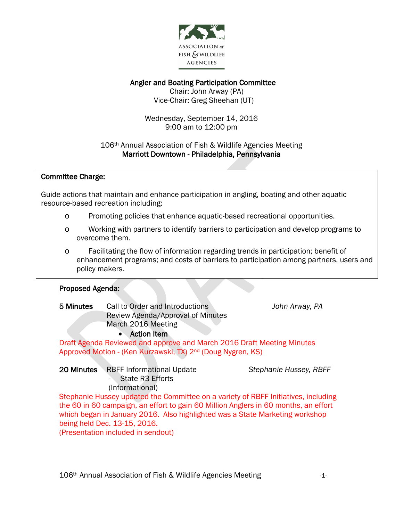

# Angler and Boating Participation Committee

 Chair: John Arway (PA) Vice-Chair: Greg Sheehan (UT)

Wednesday, September 14, 2016 9:00 am to 12:00 pm

### 106th Annual Association of Fish & Wildlife Agencies Meeting Marriott Downtown - Philadelphia, Pennsylvania

### $\overline{\phantom{a}}$ Committee Charge:

 Guide actions that maintain and enhance participation in angling, boating and other aquatic ้ resource-based recreation including:

- o Promoting policies that enhance aquatic-based recreational opportunities.
- o Working with partners to identify barriers to participation and develop programs to overcome them.
- o Facilitating the flow of information regarding trends in participation; benefit of enhancement programs; and costs of barriers to participation among partners, users and policy makers.

#### I Proposed Agenda:

5 Minutes Call to Order and Introductions *John Arway, PA* Review Agenda/Approval of Minutes March 2016 Meeting

# • Action Item

Draft Agenda Reviewed and approve and March 2016 Draft Meeting Minutes Approved Motion - (Ken Kurzawski, TX) 2nd (Doug Nygren, KS)

20 Minutes RBFF Informational Update *Stephanie Hussey, RBFF -* State R3 Efforts (Informational)

Stephanie Hussey updated the Committee on a variety of RBFF Initiatives, including

the 60 in 60 campaign, an effort to gain 60 Million Anglers in 60 months, an effort which began in January 2016. Also highlighted was a State Marketing workshop being held Dec. 13-15, 2016.

(Presentation included in sendout)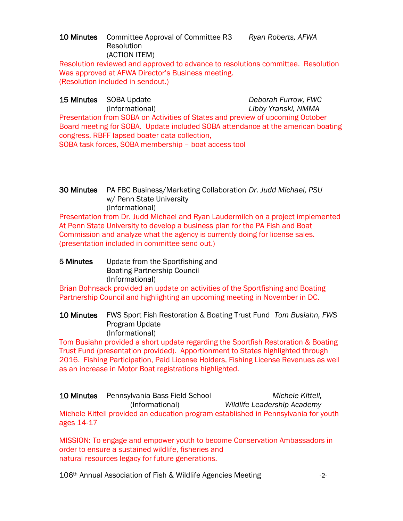### 10 Minutes Committee Approval of Committee R3 *Ryan Roberts, AFWA* Resolution (ACTION ITEM)

Resolution reviewed and approved to advance to resolutions committee. Resolution Was approved at AFWA Director's Business meeting. (Resolution included in sendout.)

15 Minutes SOBA Update *Deborah Furrow, FWC* (Informational) *Libby Yranski, NMMA* Presentation from SOBA on Activities of States and preview of upcoming October Board meeting for SOBA. Update included SOBA attendance at the american boating congress, RBFF lapsed boater data collection, SOBA task forces, SOBA membership – boat access tool

# 30 Minutes PA FBC Business/Marketing Collaboration *Dr. Judd Michael, PSU* w/ Penn State University (Informational)

Presentation from Dr. Judd Michael and Ryan Laudermilch on a project implemented At Penn State University to develop a business plan for the PA Fish and Boat Commission and analyze what the agency is currently doing for license sales. (presentation included in committee send out.)

# 5 Minutes Update from the Sportfishing and Boating Partnership Council (Informational)

Brian Bohnsack provided an update on activities of the Sportfishing and Boating Partnership Council and highlighting an upcoming meeting in November in DC.

### 10 Minutes FWS Sport Fish Restoration & Boating Trust Fund *Tom Busiahn, FWS* Program Update (Informational)

Tom Busiahn provided a short update regarding the Sportfish Restoration & Boating Trust Fund (presentation provided). Apportionment to States highlighted through 2016. Fishing Participation, Paid License Holders, Fishing License Revenues as well as an increase in Motor Boat registrations highlighted.

10 Minutes Pennsylvania Bass Field School *Michele Kittell,* (Informational) *Wildlife Leadership Academy* Michele Kittell provided an education program established in Pennsylvania for youth ages 14-17

MISSION: To engage and empower youth to become Conservation Ambassadors in order to ensure a sustained wildlife, fisheries and natural resources legacy for future generations.

106<sup>th</sup> Annual Association of Fish & Wildlife Agencies Meeting  $-2$ -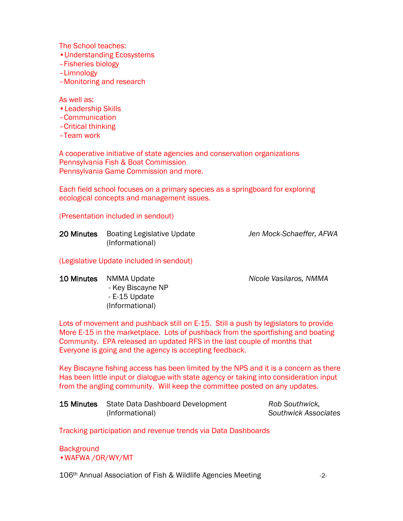The School teaches:

- •Understanding Ecosystems
- –Fisheries biology
- –Limnology
- –Monitoring and research

As well as:

- •Leadership Skills
- –Communication
- –Critical thinking
- –Team work

A cooperative initiative of state agencies and conservation organizations Pennsylvania Fish & Boat Commission Pennsylvania Game Commission and more.

Each field school focuses on a primary species as a springboard for exploring ecological concepts and management issues.

#### (Presentation included in sendout)

| 20 Minutes Boating Legislative Update | Jen Mock-Schaeffer, AFWA |
|---------------------------------------|--------------------------|
| (Informational)                       |                          |

#### (Legislative Update included in sendout)

10 Minutes NMMA Update *Nicole Vasilaros, NMMA*

- Key Biscayne NP - E-15 Update (Informational)

Lots of movement and pushback still on E-15. Still a push by legislators to provide More E-15 in the marketplace. Lots of pushback from the sportfishing and boating Community. EPA released an updated RFS in the last couple of months that Everyone is going and the agency is accepting feedback.

Key Biscayne fishing access has been limited by the NPS and it is a concern as there Has been little input or dialogue with state agency or taking into consideration input from the angling community. Will keep the committee posted on any updates.

| <b>15 Minutes</b> State Data Dashboard Development | Rob Southwick,              |
|----------------------------------------------------|-----------------------------|
| (Informational)                                    | <b>Southwick Associates</b> |

Tracking participation and revenue trends via Data Dashboards

**Background** •WAFWA /OR/WY/MT

106<sup>th</sup> Annual Association of Fish & Wildlife Agencies Meeting  $-2$ -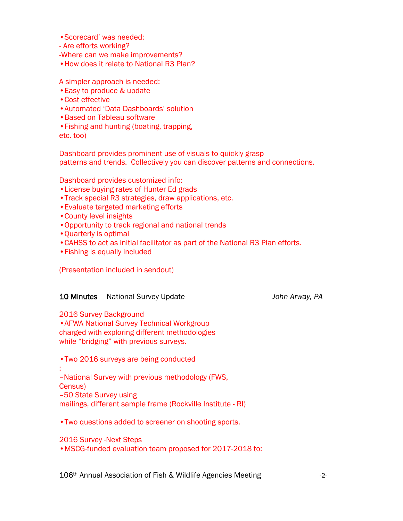- •Scorecard' was needed:
- Are efforts working?
- -Where can we make improvements?
- •How does it relate to National R3 Plan?

A simpler approach is needed:

- •Easy to produce & update
- •Cost effective
- •Automated 'Data Dashboards' solution
- •Based on Tableau software
- •Fishing and hunting (boating, trapping,

etc. too)

Dashboard provides prominent use of visuals to quickly grasp patterns and trends. Collectively you can discover patterns and connections.

Dashboard provides customized info:

- •License buying rates of Hunter Ed grads
- •Track special R3 strategies, draw applications, etc.
- •Evaluate targeted marketing efforts
- •County level insights
- •Opportunity to track regional and national trends
- •Quarterly is optimal
- •CAHSS to act as initial facilitator as part of the National R3 Plan efforts.
- •Fishing is equally included

(Presentation included in sendout)

### 10 Minutes National Survey Update *John Arway, PA*

2016 Survey Background

•AFWA National Survey Technical Workgroup charged with exploring different methodologies while "bridging" with previous surveys.

•Two 2016 surveys are being conducted

#### :

–National Survey with previous methodology (FWS,

- Census)
- –50 State Survey using

mailings, different sample frame (Rockville Institute - RI)

•Two questions added to screener on shooting sports.

### 2016 Survey -Next Steps

•MSCG-funded evaluation team proposed for 2017-2018 to: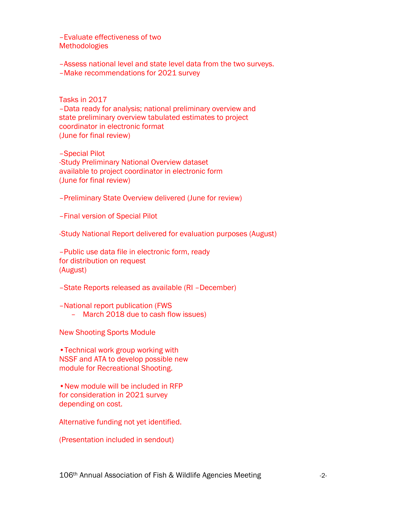–Evaluate effectiveness of two **Methodologies** 

–Assess national level and state level data from the two surveys. –Make recommendations for 2021 survey

Tasks in 2017 –Data ready for analysis; national preliminary overview and state preliminary overview tabulated estimates to project coordinator in electronic format (June for final review)

–Special Pilot -Study Preliminary National Overview dataset available to project coordinator in electronic form (June for final review)

–Preliminary State Overview delivered (June for review)

–Final version of Special Pilot

-Study National Report delivered for evaluation purposes (August)

–Public use data file in electronic form, ready for distribution on request (August)

–State Reports released as available (RI –December)

–National report publication (FWS

– March 2018 due to cash flow issues)

New Shooting Sports Module

•Technical work group working with NSSF and ATA to develop possible new module for Recreational Shooting.

•New module will be included in RFP for consideration in 2021 survey depending on cost.

Alternative funding not yet identified.

(Presentation included in sendout)